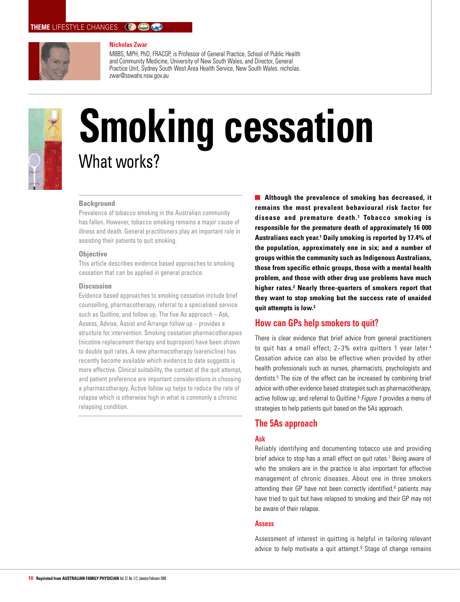# **THEME** LIFESTYLE CHANGES **COOK**



#### **Nicholas Zwar**

MBBS, MPH, PhD, FRACGP, is Professor of General Practice, School of Public Health and Community Medicine, University of New South Wales, and Director, General Practice Unit, Sydney South West Area Health Service, New South Wales. nicholas. zwar@sswahs.nsw.gov.au



# **Smoking cessation** What works?

## **Background**

Prevalence of tobacco smoking in the Australian community has fallen. However, tobacco smoking remains a major cause of illness and death. General practitioners play an important role in assisting their patients to quit smoking.

#### **Objective**

This article describes evidence based approaches to smoking cessation that can be applied in general practice.

## **Discussion**

Evidence based approaches to smoking cessation include brief counselling, pharmacotherapy, referral to a specialised service such as Quitline, and follow up. The five As approach – Ask, Assess, Advise, Assist and Arrange follow up – provides a structure for intervention. Smoking cessation pharmacotherapies (nicotine replacement therapy and bupropion) have been shown to double quit rates. A new pharmacotherapy (varenicline) has recently become available which evidence to date suggests is more effective. Clinical suitability, the context of the quit attempt, and patient preference are important considerations in choosing a pharmacotherapy. Active follow up helps to reduce the rate of relapse which is otherwise high in what is commonly a chronic relapsing condition.

**Although the prevalence of smoking has decreased, it remains the most prevalent behavioural risk factor for disease and premature death. 1 Tobacco smoking is responsible for the premature death of approximately 16 000 Australians each year.1 Daily smoking is reported by 17.4% of the population, approximately one in six; and a number of groups within the community such as Indigenous Australians, those from specific ethnic groups, those with a mental health problem, and those with other drug use problems have much higher rates.2 Nearly three-quarters of smokers report that they want to stop smoking but the success rate of unaided quit attempts is low.3**

# **How can GPs help smokers to quit?**

There is clear evidence that brief advice from general practitioners to quit has a small effect; 2-3% extra quitters 1 year later.<sup>4</sup> Cessation advice can also be effective when provided by other health professionals such as nurses, pharmacists, psychologists and dentists.5 The size of the effect can be increased by combining brief advice with other evidence based strategies such as pharmacotherapy, active follow up, and referral to Quitline.<sup>6</sup> Figure 1 provides a menu of strategies to help patients quit based on the 5As approach.

# **The 5As approach**

## **Ask**

Reliably identifying and documenting tobacco use and providing brief advice to stop has a small effect on quit rates.<sup>7</sup> Being aware of who the smokers are in the practice is also important for effective management of chronic diseases. About one in three smokers attending their GP have not been correctly identified,<sup>8</sup> patients may have tried to quit but have relapsed to smoking and their GP may not be aware of their relapse.

## **Assess**

Assessment of interest in quitting is helpful in tailoring relevant advice to help motivate a quit attempt.<sup>9</sup> Stage of change remains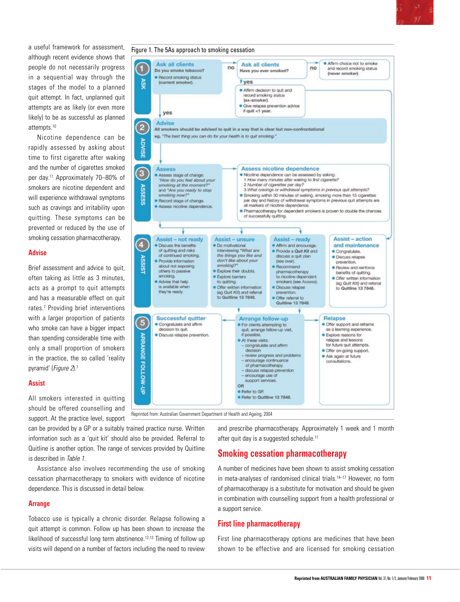a useful framework for assessment although recent evidence shows that people do not necessarily progress in a sequential way through the stages of the model to a planned quit attempt. In fact, unplanned quit attempts are as likely (or even more likely) to be as successful as planned attempts.10

Nicotine dependence can be rapidly assessed by asking about time to first cigarette after waking and the number of cigarettes smoked per day.11 Approximately 70–80% of smokers are nicotine dependent and will experience withdrawal symptoms such as cravings and irritability upon quitting. These symptoms can be prevented or reduced by the use of smoking cessation pharmacotherapy.

## **Advise**

Brief assessment and advice to quit. often taking as little as 3 minutes, acts as a prompt to quit attempts and has a measurable effect on quit rates.7 Providing brief interventions with a larger proportion of patients who smoke can have a bigger impact than spending considerable time with only a small proportion of smokers in the practice, the so called 'reality pyramid' (Figure 2).7

## **Assist**

All smokers interested in quitting should be offered counselling and support. At the practice level, support

can be provided by a GP or a suitably trained practice nurse. Written information such as a 'quit kit' should also be provided. Referral to Quitline is another option. The range of services provided by Quitline is described in Table 1.

Assistance also involves recommending the use of smoking cessation pharmacotherapy to smokers with evidence of nicotine dependence. This is discussed in detail below.

# **Arrange**

Tobacco use is typically a chronic disorder. Relapse following a quit attempt is common. Follow up has been shown to increase the likelihood of successful long term abstinence.<sup>12,13</sup> Timing of follow up visits will depend on a number of factors including the need to review



and prescribe pharmacotherapy. Approximately 1 week and 1 month after quit day is a suggested schedule.<sup>11</sup>

# **Smoking cessation pharmacotherapy**

A number of medicines have been shown to assist smoking cessation in meta-analyses of randomised clinical trials.<sup>14–17</sup> However, no form of pharmacotherapy is a substitute for motivation and should be given in combination with counselling support from a health professional or a support service.

# **First line pharmacotherapy**

First line pharmacotherapy options are medicines that have been shown to be effective and are licensed for smoking cessation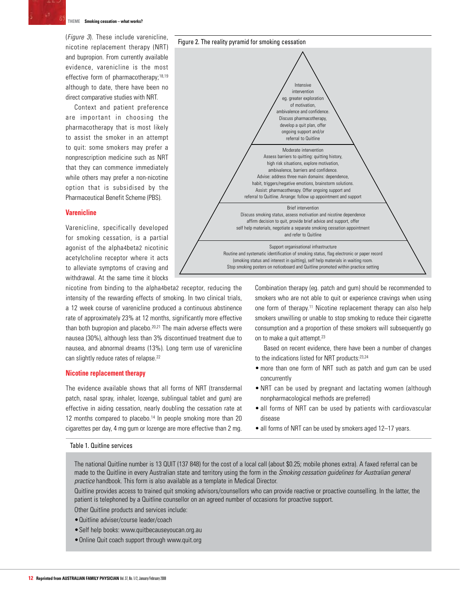

#### **theme Smoking cessation – what works?**

(Figure 3). These include varenicline, nicotine replacement therapy (NRT) and bupropion. From currently available evidence, varenicline is the most effective form of pharmacotherapy:<sup>18,19</sup> although to date, there have been no direct comparative studies with NRT.

Context and patient preference are important in choosing the pharmacotherapy that is most likely to assist the smoker in an attempt to quit: some smokers may prefer a nonprescription medicine such as NRT that they can commence immediately while others may prefer a non-nicotine option that is subsidised by the Pharmaceutical Benefit Scheme (PBS).

#### **Varenicline**

Varenicline, specifically developed for smoking cessation, is a partial agonist of the alpha4beta2 nicotinic acetylcholine receptor where it acts to alleviate symptoms of craving and withdrawal. At the same time it blocks

nicotine from binding to the alpha4beta2 receptor, reducing the intensity of the rewarding effects of smoking. In two clinical trials, a 12 week course of varenicline produced a continuous abstinence rate of approximately 23% at 12 months, significantly more effective than both bupropion and placebo.<sup>20,21</sup> The main adverse effects were nausea (30%), although less than 3% discontinued treatment due to nausea, and abnormal dreams (13%). Long term use of varenicline can slightly reduce rates of relapse.<sup>22</sup>

## **Nicotine replacement therapy**

The evidence available shows that all forms of NRT (transdermal patch, nasal spray, inhaler, lozenge, sublingual tablet and gum) are effective in aiding cessation, nearly doubling the cessation rate at 12 months compared to placebo.<sup>14</sup> In people smoking more than 20 cigarettes per day, 4 mg gum or lozenge are more effective than 2 mg.

#### Table 1. Quitline services



Combination therapy (eg. patch and gum) should be recommended to smokers who are not able to quit or experience cravings when using one form of therapy.11 Nicotine replacement therapy can also help smokers unwilling or unable to stop smoking to reduce their cigarette consumption and a proportion of these smokers will subsequently go on to make a quit attempt.23

Based on recent evidence, there have been a number of changes to the indications listed for NRT products:23,24

- more than one form of NRT such as patch and gum can be used concurrently
- NRT can be used by pregnant and lactating women (although nonpharmacological methods are preferred)
- all forms of NRT can be used by patients with cardiovascular disease
- all forms of NRT can be used by smokers aged 12-17 years.

The national Quitline number is 13 QUIT (137 848) for the cost of a local call (about \$0.25; mobile phones extra). A faxed referral can be made to the Quitline in every Australian state and territory using the form in the Smoking cessation guidelines for Australian general practice handbook. This form is also available as a template in Medical Director.

Quitline provides access to trained quit smoking advisors/counsellors who can provide reactive or proactive counselling. In the latter, the patient is telephoned by a Quitline counsellor on an agreed number of occasions for proactive support.

Other Quitline products and services include:

- • Quitline adviser/course leader/coach
- • Self help books: www.quitbecauseyoucan.org.au
- Online Quit coach support through www.quit.org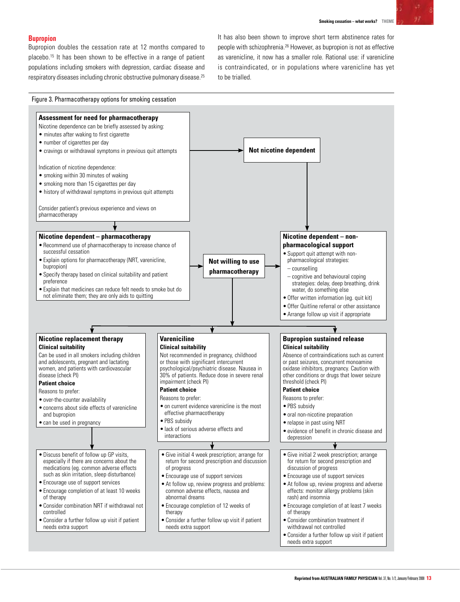# **Bupropion**

Bupropion doubles the cessation rate at 12 months compared to placebo.15 It has been shown to be effective in a range of patient populations including smokers with depression, cardiac disease and respiratory diseases including chronic obstructive pulmonary disease.25 It has also been shown to improve short term abstinence rates for people with schizophrenia.26 However, as bupropion is not as effective as varenicline, it now has a smaller role. Rational use: if varenicline is contraindicated, or in populations where varenicline has yet to be trialled.